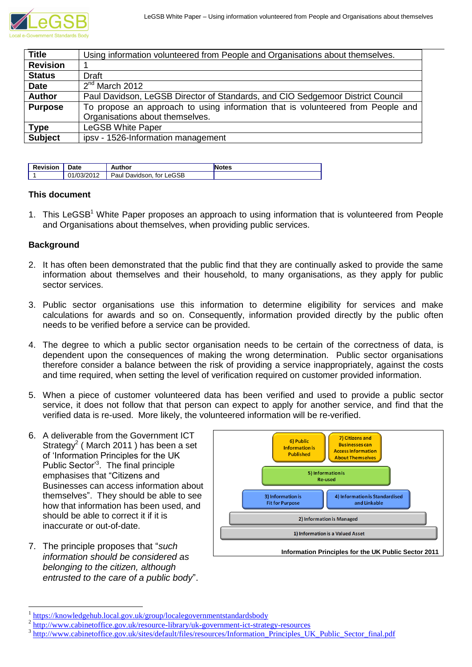

| <b>Title</b>    | Using information volunteered from People and Organisations about themselves.   |  |  |  |
|-----------------|---------------------------------------------------------------------------------|--|--|--|
| <b>Revision</b> |                                                                                 |  |  |  |
| <b>Status</b>   | Draft                                                                           |  |  |  |
| <b>Date</b>     | $2nd$ March 2012                                                                |  |  |  |
| <b>Author</b>   | Paul Davidson, LeGSB Director of Standards, and CIO Sedgemoor District Council  |  |  |  |
| <b>Purpose</b>  | To propose an approach to using information that is volunteered from People and |  |  |  |
|                 | Organisations about themselves.                                                 |  |  |  |
| <b>Type</b>     | <b>LeGSB White Paper</b>                                                        |  |  |  |
| <b>Subject</b>  | ipsv - 1526-Information management                                              |  |  |  |

| <b>Revision</b> | Date       | Author                   | otes |
|-----------------|------------|--------------------------|------|
|                 | 01/03/2012 | Paul Davidson, for LeGSB |      |

## **This document**

1. This LeGSB<sup>1</sup> White Paper proposes an approach to using information that is volunteered from People and Organisations about themselves, when providing public services.

## **Background**

- 2. It has often been demonstrated that the public find that they are continually asked to provide the same information about themselves and their household, to many organisations, as they apply for public sector services.
- 3. Public sector organisations use this information to determine eligibility for services and make calculations for awards and so on. Consequently, information provided directly by the public often needs to be verified before a service can be provided.
- 4. The degree to which a public sector organisation needs to be certain of the correctness of data, is dependent upon the consequences of making the wrong determination. Public sector organisations therefore consider a balance between the risk of providing a service inappropriately, against the costs and time required, when setting the level of verification required on customer provided information.
- 5. When a piece of customer volunteered data has been verified and used to provide a public sector service, it does not follow that that person can expect to apply for another service, and find that the verified data is re-used. More likely, the volunteered information will be re-verified.
- 6. A deliverable from the Government ICT Strategy<sup>2</sup> (March 2011) has been a set of "Information Principles for the UK Public Sector<sup>3</sup>. The final principle emphasises that "Citizens and Businesses can access information about themselves". They should be able to see how that information has been used, and should be able to correct it if it is inaccurate or out-of-date.
- 7. The principle proposes that "*such information should be considered as belonging to the citizen, although entrusted to the care of a public body*".

1



<sup>1</sup> <https://knowledgehub.local.gov.uk/group/localegovernmentstandardsbody>

<sup>2</sup> <http://www.cabinetoffice.gov.uk/resource-library/uk-government-ict-strategy-resources>

<sup>3</sup> [http://www.cabinetoffice.gov.uk/sites/default/files/resources/Information\\_Principles\\_UK\\_Public\\_Sector\\_final.pdf](http://www.cabinetoffice.gov.uk/sites/default/files/resources/Information_Principles_UK_Public_Sector_final.pdf)